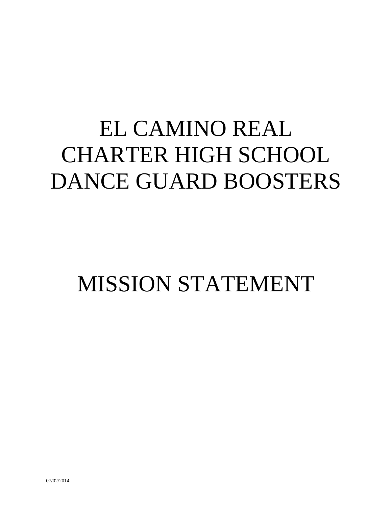# EL CAMINO REAL CHARTER HIGH SCHOOL DANCE GUARD BOOSTERS

## MISSION STATEMENT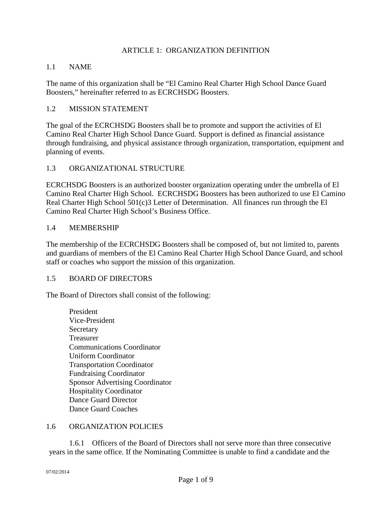#### ARTICLE 1: ORGANIZATION DEFINITION

#### 1.1 NAME

The name of this organization shall be "El Camino Real Charter High School Dance Guard Boosters," hereinafter referred to as ECRCHSDG Boosters.

#### 1.2 MISSION STATEMENT

The goal of the ECRCHSDG Boosters shall be to promote and support the activities of El Camino Real Charter High School Dance Guard. Support is defined as financial assistance through fundraising, and physical assistance through organization, transportation, equipment and planning of events.

#### 1.3 ORGANIZATIONAL STRUCTURE

ECRCHSDG Boosters is an authorized booster organization operating under the umbrella of El Camino Real Charter High School. ECRCHSDG Boosters has been authorized to use El Camino Real Charter High School 501(c)3 Letter of Determination. All finances run through the El Camino Real Charter High School's Business Office.

#### 1.4 MEMBERSHIP

The membership of the ECRCHSDG Boosters shall be composed of, but not limited to, parents and guardians of members of the El Camino Real Charter High School Dance Guard, and school staff or coaches who support the mission of this organization.

#### 1.5 BOARD OF DIRECTORS

The Board of Directors shall consist of the following:

President Vice-President **Secretary** Treasurer Communications Coordinator Uniform Coordinator Transportation Coordinator Fundraising Coordinator Sponsor Advertising Coordinator Hospitality Coordinator Dance Guard Director Dance Guard Coaches

#### 1.6 ORGANIZATION POLICIES

1.6.1 Officers of the Board of Directors shall not serve more than three consecutive years in the same office. If the Nominating Committee is unable to find a candidate and the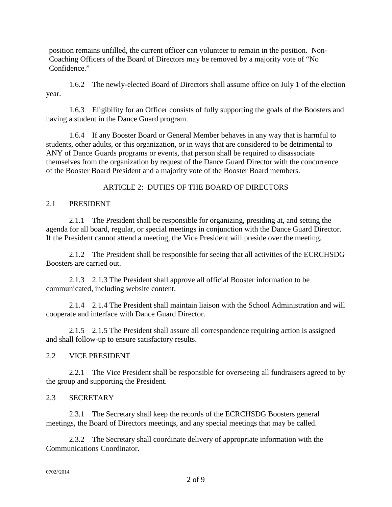position remains unfilled, the current officer can volunteer to remain in the position. Non-Coaching Officers of the Board of Directors may be removed by a majority vote of "No Confidence."

1.6.2 The newly-elected Board of Directors shall assume office on July 1 of the election year.

1.6.3 Eligibility for an Officer consists of fully supporting the goals of the Boosters and having a student in the Dance Guard program.

1.6.4 If any Booster Board or General Member behaves in any way that is harmful to students, other adults, or this organization, or in ways that are considered to be detrimental to ANY of Dance Guards programs or events, that person shall be required to disassociate themselves from the organization by request of the Dance Guard Director with the concurrence of the Booster Board President and a majority vote of the Booster Board members.

## ARTICLE 2: DUTIES OF THE BOARD OF DIRECTORS

## 2.1 PRESIDENT

2.1.1 The President shall be responsible for organizing, presiding at, and setting the agenda for all board, regular, or special meetings in conjunction with the Dance Guard Director. If the President cannot attend a meeting, the Vice President will preside over the meeting.

2.1.2 The President shall be responsible for seeing that all activities of the ECRCHSDG Boosters are carried out.

2.1.3 2.1.3 The President shall approve all official Booster information to be communicated, including website content.

2.1.4 2.1.4 The President shall maintain liaison with the School Administration and will cooperate and interface with Dance Guard Director.

2.1.5 2.1.5 The President shall assure all correspondence requiring action is assigned and shall follow-up to ensure satisfactory results.

#### 2.2 VICE PRESIDENT

2.2.1 The Vice President shall be responsible for overseeing all fundraisers agreed to by the group and supporting the President.

## 2.3 SECRETARY

2.3.1 The Secretary shall keep the records of the ECRCHSDG Boosters general meetings, the Board of Directors meetings, and any special meetings that may be called.

2.3.2 The Secretary shall coordinate delivery of appropriate information with the Communications Coordinator.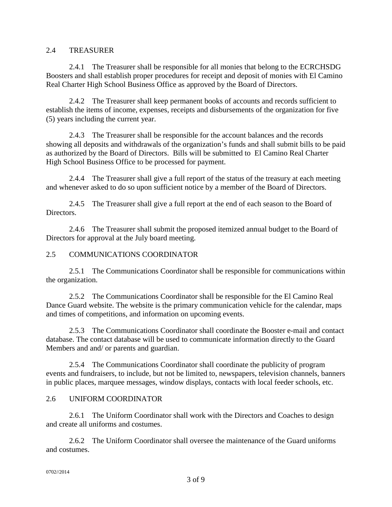#### 2.4 TREASURER

2.4.1 The Treasurer shall be responsible for all monies that belong to the ECRCHSDG Boosters and shall establish proper procedures for receipt and deposit of monies with El Camino Real Charter High School Business Office as approved by the Board of Directors.

2.4.2 The Treasurer shall keep permanent books of accounts and records sufficient to establish the items of income, expenses, receipts and disbursements of the organization for five (5) years including the current year.

2.4.3 The Treasurer shall be responsible for the account balances and the records showing all deposits and withdrawals of the organization's funds and shall submit bills to be paid as authorized by the Board of Directors. Bills will be submitted to El Camino Real Charter High School Business Office to be processed for payment.

2.4.4 The Treasurer shall give a full report of the status of the treasury at each meeting and whenever asked to do so upon sufficient notice by a member of the Board of Directors.

2.4.5 The Treasurer shall give a full report at the end of each season to the Board of Directors.

2.4.6 The Treasurer shall submit the proposed itemized annual budget to the Board of Directors for approval at the July board meeting.

#### 2.5 COMMUNICATIONS COORDINATOR

2.5.1 The Communications Coordinator shall be responsible for communications within the organization.

2.5.2 The Communications Coordinator shall be responsible for the El Camino Real Dance Guard website. The website is the primary communication vehicle for the calendar, maps and times of competitions, and information on upcoming events.

2.5.3 The Communications Coordinator shall coordinate the Booster e-mail and contact database. The contact database will be used to communicate information directly to the Guard Members and and/ or parents and guardian.

2.5.4 The Communications Coordinator shall coordinate the publicity of program events and fundraisers, to include, but not be limited to, newspapers, television channels, banners in public places, marquee messages, window displays, contacts with local feeder schools, etc.

#### 2.6 UNIFORM COORDINATOR

2.6.1 The Uniform Coordinator shall work with the Directors and Coaches to design and create all uniforms and costumes.

2.6.2 The Uniform Coordinator shall oversee the maintenance of the Guard uniforms and costumes.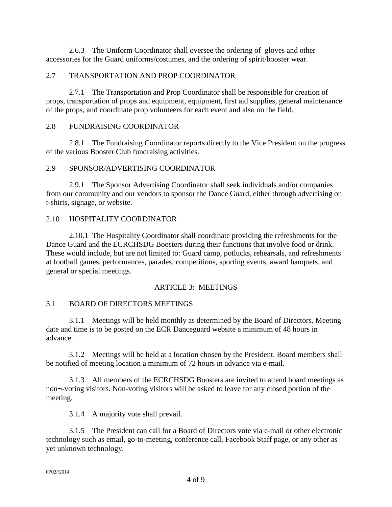2.6.3 The Uniform Coordinator shall oversee the ordering of gloves and other accessories for the Guard uniforms/costumes, and the ordering of spirit/booster wear.

## 2.7 TRANSPORTATION AND PROP COORDINATOR

2.7.1 The Transportation and Prop Coordinator shall be responsible for creation of props, transportation of props and equipment, equipment, first aid supplies, general maintenance of the props, and coordinate prop volunteers for each event and also on the field.

### 2.8 FUNDRAISING COORDINATOR

2.8.1 The Fundraising Coordinator reports directly to the Vice President on the progress of the various Booster Club fundraising activities.

#### 2.9 SPONSOR/ADVERTISING COORDINATOR

2.9.1 The Sponsor Advertising Coordinator shall seek individuals and/or companies from our community and our vendors to sponsor the Dance Guard, either through advertising on t-shirts, signage, or website.

### 2.10 HOSPITALITY COORDINATOR

2.10.1 The Hospitality Coordinator shall coordinate providing the refreshments for the Dance Guard and the ECRCHSDG Boosters during their functions that involve food or drink. These would include, but are not limited to: Guard camp, potlucks, rehearsals, and refreshments at football games, performances, parades, competitions, sporting events, award banquets, and general or special meetings.

## ARTICLE 3: MEETINGS

## 3.1 BOARD OF DIRECTORS MEETINGS

3.1.1 Meetings will be held monthly as determined by the Board of Directors. Meeting date and time is to be posted on the ECR Danceguard website a minimum of 48 hours in advance.

3.1.2 Meetings will be held at a location chosen by the President. Board members shall be notified of meeting location a minimum of 72 hours in advance via e-mail.

3.1.3 All members of the ECRCHSDG Boosters are invited to attend board meetings as non¬-voting visitors. Non-voting visitors will be asked to leave for any closed portion of the meeting.

3.1.4 A majority vote shall prevail.

3.1.5 The President can call for a Board of Directors vote via e-mail or other electronic technology such as email, go-to-meeting, conference call, Facebook Staff page, or any other as yet unknown technology.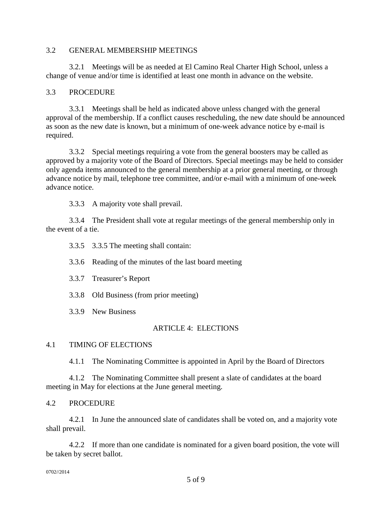#### 3.2 GENERAL MEMBERSHIP MEETINGS

3.2.1 Meetings will be as needed at El Camino Real Charter High School, unless a change of venue and/or time is identified at least one month in advance on the website.

#### 3.3 PROCEDURE

3.3.1 Meetings shall be held as indicated above unless changed with the general approval of the membership. If a conflict causes rescheduling, the new date should be announced as soon as the new date is known, but a minimum of one-week advance notice by e-mail is required.

3.3.2 Special meetings requiring a vote from the general boosters may be called as approved by a majority vote of the Board of Directors. Special meetings may be held to consider only agenda items announced to the general membership at a prior general meeting, or through advance notice by mail, telephone tree committee, and/or e-mail with a minimum of one-week advance notice.

3.3.3 A majority vote shall prevail.

3.3.4 The President shall vote at regular meetings of the general membership only in the event of a tie.

3.3.5 3.3.5 The meeting shall contain:

3.3.6 Reading of the minutes of the last board meeting

3.3.7 Treasurer's Report

3.3.8 Old Business (from prior meeting)

3.3.9 New Business

#### ARTICLE 4: ELECTIONS

#### 4.1 TIMING OF ELECTIONS

4.1.1 The Nominating Committee is appointed in April by the Board of Directors

4.1.2 The Nominating Committee shall present a slate of candidates at the board meeting in May for elections at the June general meeting.

#### 4.2 PROCEDURE

4.2.1 In June the announced slate of candidates shall be voted on, and a majority vote shall prevail.

4.2.2 If more than one candidate is nominated for a given board position, the vote will be taken by secret ballot.

0702//2014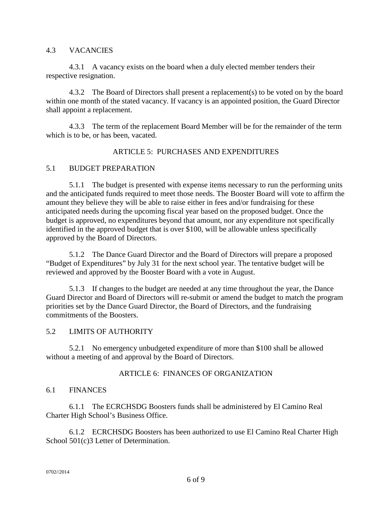#### 4.3 VACANCIES

4.3.1 A vacancy exists on the board when a duly elected member tenders their respective resignation.

4.3.2 The Board of Directors shall present a replacement(s) to be voted on by the board within one month of the stated vacancy. If vacancy is an appointed position, the Guard Director shall appoint a replacement.

4.3.3 The term of the replacement Board Member will be for the remainder of the term which is to be, or has been, vacated.

#### ARTICLE 5: PURCHASES AND EXPENDITURES

#### 5.1 BUDGET PREPARATION

5.1.1 The budget is presented with expense items necessary to run the performing units and the anticipated funds required to meet those needs. The Booster Board will vote to affirm the amount they believe they will be able to raise either in fees and/or fundraising for these anticipated needs during the upcoming fiscal year based on the proposed budget. Once the budget is approved, no expenditures beyond that amount, nor any expenditure not specifically identified in the approved budget that is over \$100, will be allowable unless specifically approved by the Board of Directors.

5.1.2 The Dance Guard Director and the Board of Directors will prepare a proposed "Budget of Expenditures" by July 31 for the next school year. The tentative budget will be reviewed and approved by the Booster Board with a vote in August.

5.1.3 If changes to the budget are needed at any time throughout the year, the Dance Guard Director and Board of Directors will re-submit or amend the budget to match the program priorities set by the Dance Guard Director, the Board of Directors, and the fundraising commitments of the Boosters.

#### 5.2 LIMITS OF AUTHORITY

5.2.1 No emergency unbudgeted expenditure of more than \$100 shall be allowed without a meeting of and approval by the Board of Directors.

#### ARTICLE 6: FINANCES OF ORGANIZATION

#### 6.1 FINANCES

6.1.1 The ECRCHSDG Boosters funds shall be administered by El Camino Real Charter High School's Business Office.

6.1.2 ECRCHSDG Boosters has been authorized to use El Camino Real Charter High School 501(c)3 Letter of Determination.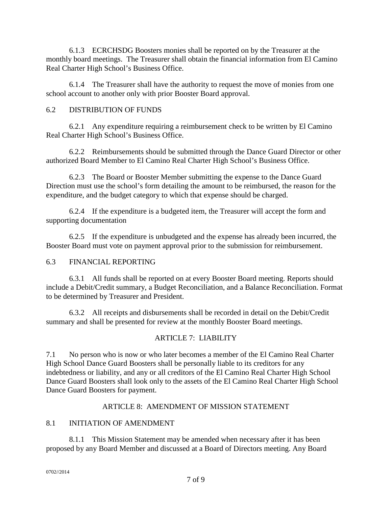6.1.3 ECRCHSDG Boosters monies shall be reported on by the Treasurer at the monthly board meetings. The Treasurer shall obtain the financial information from El Camino Real Charter High School's Business Office.

6.1.4 The Treasurer shall have the authority to request the move of monies from one school account to another only with prior Booster Board approval.

## 6.2 DISTRIBUTION OF FUNDS

6.2.1 Any expenditure requiring a reimbursement check to be written by El Camino Real Charter High School's Business Office.

6.2.2 Reimbursements should be submitted through the Dance Guard Director or other authorized Board Member to El Camino Real Charter High School's Business Office.

6.2.3 The Board or Booster Member submitting the expense to the Dance Guard Direction must use the school's form detailing the amount to be reimbursed, the reason for the expenditure, and the budget category to which that expense should be charged.

6.2.4 If the expenditure is a budgeted item, the Treasurer will accept the form and supporting documentation

6.2.5 If the expenditure is unbudgeted and the expense has already been incurred, the Booster Board must vote on payment approval prior to the submission for reimbursement.

## 6.3 FINANCIAL REPORTING

6.3.1 All funds shall be reported on at every Booster Board meeting. Reports should include a Debit/Credit summary, a Budget Reconciliation, and a Balance Reconciliation. Format to be determined by Treasurer and President.

6.3.2 All receipts and disbursements shall be recorded in detail on the Debit/Credit summary and shall be presented for review at the monthly Booster Board meetings.

## ARTICLE 7: LIABILITY

7.1 No person who is now or who later becomes a member of the El Camino Real Charter High School Dance Guard Boosters shall be personally liable to its creditors for any indebtedness or liability, and any or all creditors of the El Camino Real Charter High School Dance Guard Boosters shall look only to the assets of the El Camino Real Charter High School Dance Guard Boosters for payment.

## ARTICLE 8: AMENDMENT OF MISSION STATEMENT

## 8.1 INITIATION OF AMENDMENT

8.1.1 This Mission Statement may be amended when necessary after it has been proposed by any Board Member and discussed at a Board of Directors meeting. Any Board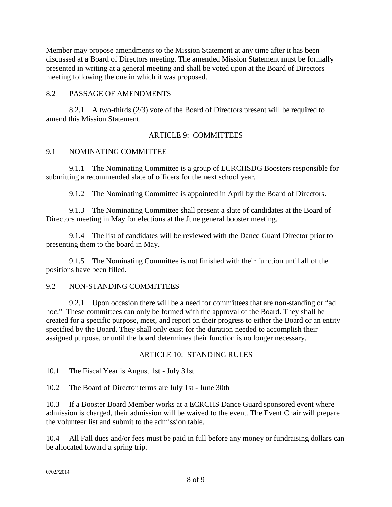Member may propose amendments to the Mission Statement at any time after it has been discussed at a Board of Directors meeting. The amended Mission Statement must be formally presented in writing at a general meeting and shall be voted upon at the Board of Directors meeting following the one in which it was proposed.

## 8.2 PASSAGE OF AMENDMENTS

8.2.1 A two-thirds (2/3) vote of the Board of Directors present will be required to amend this Mission Statement.

## ARTICLE 9: COMMITTEES

## 9.1 NOMINATING COMMITTEE

9.1.1 The Nominating Committee is a group of ECRCHSDG Boosters responsible for submitting a recommended slate of officers for the next school year.

9.1.2 The Nominating Committee is appointed in April by the Board of Directors.

9.1.3 The Nominating Committee shall present a slate of candidates at the Board of Directors meeting in May for elections at the June general booster meeting.

9.1.4 The list of candidates will be reviewed with the Dance Guard Director prior to presenting them to the board in May.

9.1.5 The Nominating Committee is not finished with their function until all of the positions have been filled.

#### 9.2 NON-STANDING COMMITTEES

9.2.1 Upon occasion there will be a need for committees that are non-standing or "ad hoc." These committees can only be formed with the approval of the Board. They shall be created for a specific purpose, meet, and report on their progress to either the Board or an entity specified by the Board. They shall only exist for the duration needed to accomplish their assigned purpose, or until the board determines their function is no longer necessary.

#### ARTICLE 10: STANDING RULES

10.1 The Fiscal Year is August 1st - July 31st

10.2 The Board of Director terms are July 1st - June 30th

10.3 If a Booster Board Member works at a ECRCHS Dance Guard sponsored event where admission is charged, their admission will be waived to the event. The Event Chair will prepare the volunteer list and submit to the admission table.

10.4 All Fall dues and/or fees must be paid in full before any money or fundraising dollars can be allocated toward a spring trip.